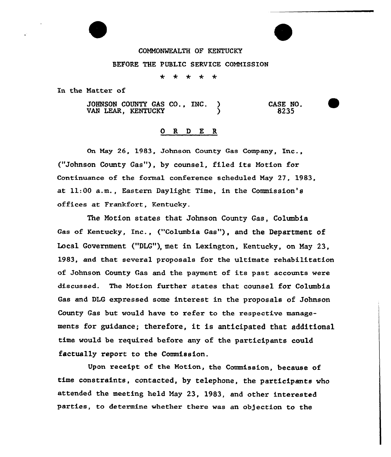## COMMONWEALTH OF KENTUCKY

## BEFORE THE PUBLIC SERVICE COMMISSION

مله ÷ 4

In the Natter of

JOHNSON COUNTY GAS CO., INC. ) VAN LEAR. KENTUCKY CASE NO. 8235

## 0 R <sup>D</sup> E R

On Nay 26, 1983, Johnson County Gas Company, Inc., ("Johnson County Gas"), by counsel, filed its Notion for Continuance of the formal conference scheduled Nay 27, 1983, at ll:00 a.m., Eastern Daylight Time, in the Commission's offices at Frankfort, Kentucky.

The Motion states that Johnson County Gas, Columbia Gas of Kentucky, Inc., ("columbia Gas"), and the Department of Local Government ("DLG"), met in Lexington, Kentucky, on May 23, 1983, and that several proposals for the ultimate rehabilitation of Johnson County Gas and the payment of its past accounts were discussed. The Notion further states that counsel for Columbia Gas and DLG expressed some interest in the proposals of Johnson County Gas but would have to refer to the respective managements for guidance; therefore, it is anticipated that additional time would be required before any of the participants could factually report to the Commission.

Upon receipt of the Notion, the Commission, because of time constraints, contacted, by telephone, the participants who attended the meeting held May 23, 1983, and other interested parties, to determine whether there was an objection to the